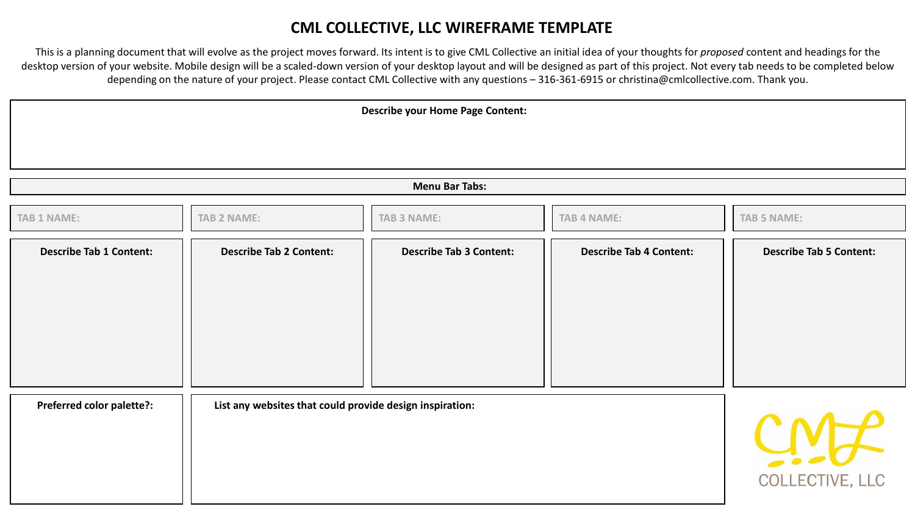## **CML COLLECTIVE, LLC WIREFRAME TEMPLATE**

This is a planning document that will evolve as the project moves forward. Its intent is to give CML Collective an initial idea of your thoughts for *proposed* content and headings for the desktop version of your website. Mobile design will be a scaled-down version of your desktop layout and will be designed as part of this project. Not every tab needs to be completed below depending on the nature of your project. Please contact CML Collective with any questions – 316-361-6915 or christina@cmlcollective.com. Thank you.

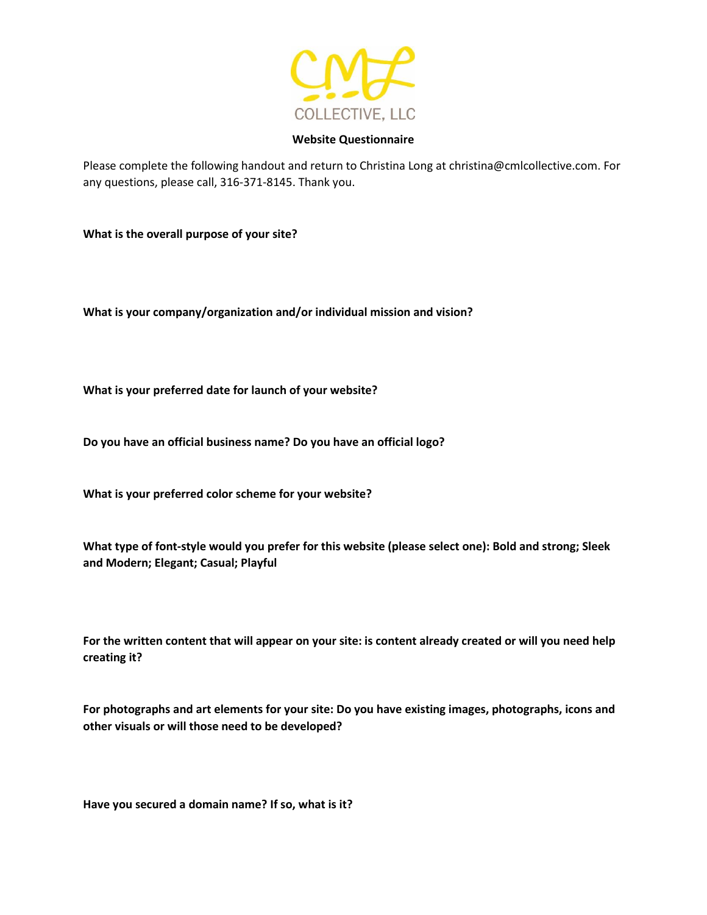

## **Website Questionnaire**

Please complete the following handout and return to Christina Long at christina@cmlcollective.com. For any questions, please call, 316-371-8145. Thank you.

**What is the overall purpose of your site?** 

**What is your company/organization and/or individual mission and vision?** 

**What is your preferred date for launch of your website?** 

**Do you have an official business name? Do you have an official logo?** 

**What is your preferred color scheme for your website?** 

**What type of font-style would you prefer for this website (please select one): Bold and strong; Sleek and Modern; Elegant; Casual; Playful**

**For the written content that will appear on your site: is content already created or will you need help creating it?** 

**For photographs and art elements for your site: Do you have existing images, photographs, icons and other visuals or will those need to be developed?** 

**Have you secured a domain name? If so, what is it?**